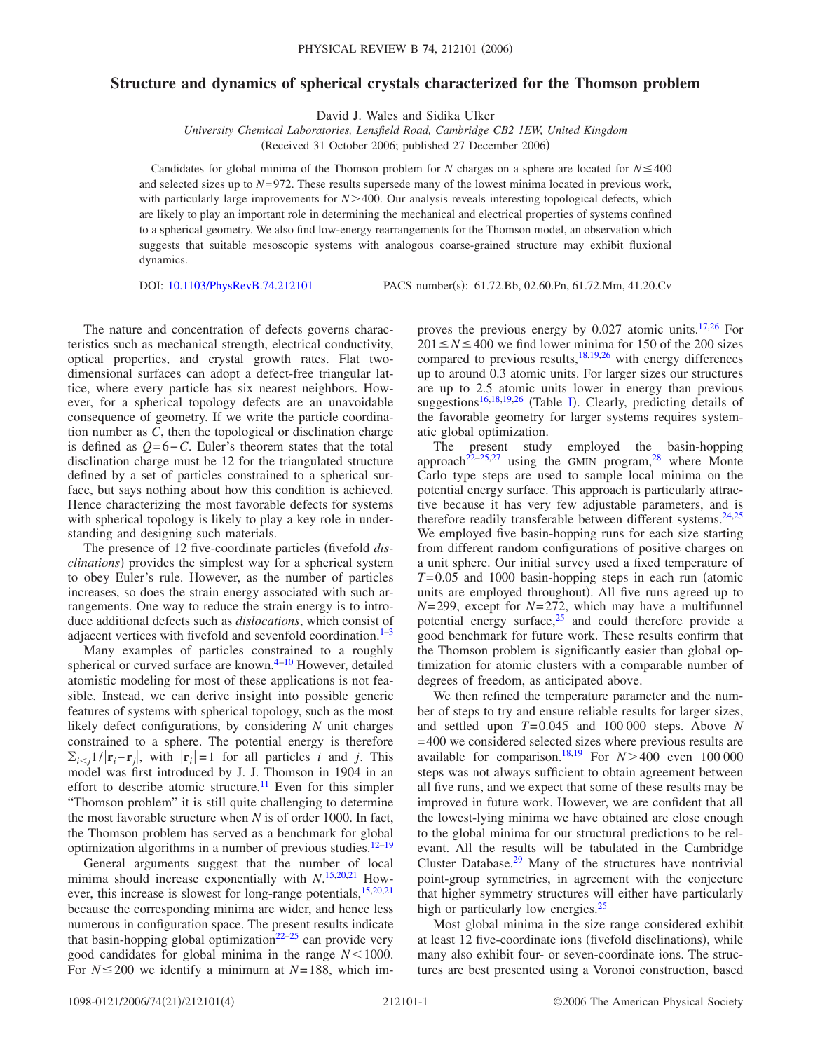## **Structure and dynamics of spherical crystals characterized for the Thomson problem**

David J. Wales and Sidika Ulker

*University Chemical Laboratories, Lensfield Road, Cambridge CB2 1EW, United Kingdom* (Received 31 October 2006; published 27 December 2006)

Candidates for global minima of the Thomson problem for *N* charges on a sphere are located for  $N \le 400$ and selected sizes up to *N*= 972. These results supersede many of the lowest minima located in previous work, with particularly large improvements for *N* > 400. Our analysis reveals interesting topological defects, which are likely to play an important role in determining the mechanical and electrical properties of systems confined to a spherical geometry. We also find low-energy rearrangements for the Thomson model, an observation which suggests that suitable mesoscopic systems with analogous coarse-grained structure may exhibit fluxional dynamics.

DOI: [10.1103/PhysRevB.74.212101](http://dx.doi.org/10.1103/PhysRevB.74.212101)

PACS number(s): 61.72.Bb, 02.60.Pn, 61.72.Mm, 41.20.Cv

The nature and concentration of defects governs characteristics such as mechanical strength, electrical conductivity, optical properties, and crystal growth rates. Flat twodimensional surfaces can adopt a defect-free triangular lattice, where every particle has six nearest neighbors. However, for a spherical topology defects are an unavoidable consequence of geometry. If we write the particle coordination number as *C*, then the topological or disclination charge is defined as *Q*=6−*C*. Euler's theorem states that the total disclination charge must be 12 for the triangulated structure defined by a set of particles constrained to a spherical surface, but says nothing about how this condition is achieved. Hence characterizing the most favorable defects for systems with spherical topology is likely to play a key role in understanding and designing such materials.

The presence of 12 five-coordinate particles (fivefold *dis*clinations) provides the simplest way for a spherical system to obey Euler's rule. However, as the number of particles increases, so does the strain energy associated with such arrangements. One way to reduce the strain energy is to introduce additional defects such as *dislocations*, which consist of adjacent vertices with fivefold and sevenfold coordination. $1-3$  $1-3$ 

Many examples of particles constrained to a roughly spherical or curved surface are known.<sup>4[–10](#page-3-3)</sup> However, detailed atomistic modeling for most of these applications is not feasible. Instead, we can derive insight into possible generic features of systems with spherical topology, such as the most likely defect configurations, by considering *N* unit charges constrained to a sphere. The potential energy is therefore  $\sum_{i \leq j} 1/|\mathbf{r}_i - \mathbf{r}_j|$ , with  $|\mathbf{r}_i| = 1$  for all particles *i* and *j*. This model was first introduced by J. J. Thomson in 1904 in an effort to describe atomic structure.<sup>11</sup> Even for this simpler "Thomson problem" it is still quite challenging to determine the most favorable structure when *N* is of order 1000. In fact, the Thomson problem has served as a benchmark for global optimization algorithms in a number of previous studies. $12-19$  $12-19$ 

General arguments suggest that the number of local minima should increase exponentially with *N*. [15,](#page-3-7)[20,](#page-3-8)[21](#page-3-9) However, this increase is slowest for long-range potentials,  $15,20,21$  $15,20,21$  $15,20,21$ because the corresponding minima are wider, and hence less numerous in configuration space. The present results indicate that basin-hopping global optimization $22-25$  $22-25$  can provide very good candidates for global minima in the range  $N<1000$ . For  $N \le 200$  we identify a minimum at  $N=188$ , which improves the previous energy by  $0.027$  atomic units.<sup>17,[26](#page-3-13)</sup> For  $201 \le N \le 400$  we find lower minima for 150 of the 200 sizes compared to previous results, $18,19,26$  $18,19,26$  $18,19,26$  with energy differences up to around 0.3 atomic units. For larger sizes our structures are up to 2.5 atomic units lower in energy than previous suggestions<sup>16,[18](#page-3-14)[,19](#page-3-6)[,26](#page-3-13)</sup> (Table [I](#page-1-0)). Clearly, predicting details of the favorable geometry for larger systems requires systematic global optimization.

The present study employed the basin-hopping approach<sup>22–[25,](#page-3-11)[27](#page-3-16)</sup> using the GMIN program,<sup>28</sup> where Monte Carlo type steps are used to sample local minima on the potential energy surface. This approach is particularly attractive because it has very few adjustable parameters, and is therefore readily transferable between different systems. $24,25$  $24,25$ We employed five basin-hopping runs for each size starting from different random configurations of positive charges on a unit sphere. Our initial survey used a fixed temperature of  $T= 0.05$  and 1000 basin-hopping steps in each run (atomic units are employed throughout). All five runs agreed up to *N*= 299, except for *N*= 272, which may have a multifunnel potential energy surface, $25$  and could therefore provide a good benchmark for future work. These results confirm that the Thomson problem is significantly easier than global optimization for atomic clusters with a comparable number of degrees of freedom, as anticipated above.

We then refined the temperature parameter and the number of steps to try and ensure reliable results for larger sizes, and settled upon *T*= 0.045 and 100 000 steps. Above *N* = 400 we considered selected sizes where previous results are available for comparison.<sup>18[,19](#page-3-6)</sup> For  $N$  > 400 even 100 000 steps was not always sufficient to obtain agreement between all five runs, and we expect that some of these results may be improved in future work. However, we are confident that all the lowest-lying minima we have obtained are close enough to the global minima for our structural predictions to be relevant. All the results will be tabulated in the Cambridge Cluster Database. $29$  Many of the structures have nontrivial point-group symmetries, in agreement with the conjecture that higher symmetry structures will either have particularly high or particularly low energies. $25$ 

Most global minima in the size range considered exhibit at least 12 five-coordinate ions (fivefold disclinations), while many also exhibit four- or seven-coordinate ions. The structures are best presented using a Voronoi construction, based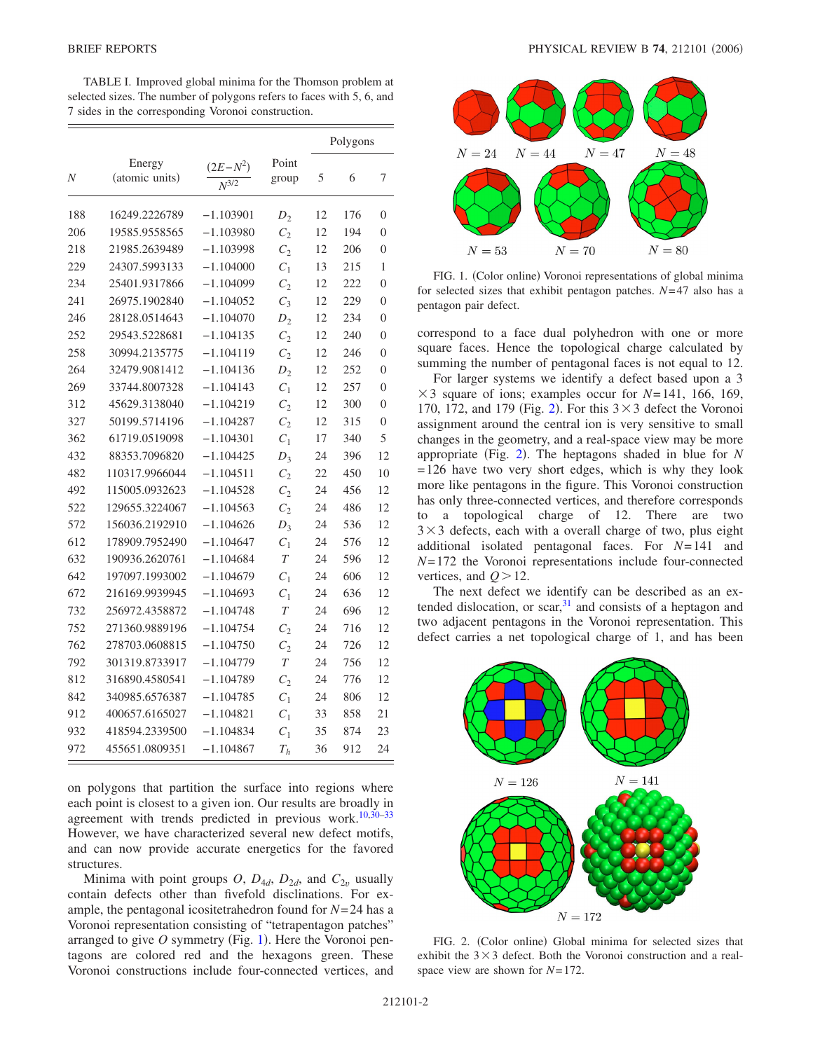<span id="page-1-0"></span>TABLE I. Improved global minima for the Thomson problem at selected sizes. The number of polygons refers to faces with 5, 6, and 7 sides in the corresponding Voronoi construction.

|     |                          |                         |                | Polygons |     |                |
|-----|--------------------------|-------------------------|----------------|----------|-----|----------------|
| N   | Energy<br>(atomic units) | $(2E-N^2)$<br>$N^{3/2}$ | Point<br>group | 5        | 6   | 7              |
| 188 | 16249.2226789            | $-1.103901$             | $D_2$          | 12       | 176 | 0              |
| 206 | 19585.9558565            | $-1.103980$             | $C_2$          | 12       | 194 | $\theta$       |
| 218 | 21985.2639489            | $-1.103998$             | $C_2$          | 12       | 206 | $\overline{0}$ |
| 229 | 24307.5993133            | $-1.104000$             | $C_1$          | 13       | 215 | 1              |
| 234 | 25401.9317866            | $-1.104099$             | $C_2$          | 12       | 222 | $\theta$       |
| 241 | 26975.1902840            | $-1.104052$             | $C_3$          | 12       | 229 | 0              |
| 246 | 28128.0514643            | $-1.104070$             | $D_{2}$        | 12       | 234 | 0              |
| 252 | 29543.5228681            | $-1.104135$             | $C_2$          | 12       | 240 | 0              |
| 258 | 30994.2135775            | $-1.104119$             | $C_2$          | 12       | 246 | $\overline{0}$ |
| 264 | 32479.9081412            | $-1.104136$             | $D_{2}$        | 12       | 252 | $\overline{0}$ |
| 269 | 33744.8007328            | $-1.104143$             | $C_1$          | 12       | 257 | $\theta$       |
| 312 | 45629.3138040            | $-1.104219$             | $C_2$          | 12       | 300 | $\theta$       |
| 327 | 50199.5714196            | $-1.104287$             | $C_2$          | 12       | 315 | 0              |
| 362 | 61719.0519098            | $-1.104301$             | $C_1$          | 17       | 340 | 5              |
| 432 | 88353.7096820            | $-1.104425$             | $D_3$          | 24       | 396 | 12             |
| 482 | 110317.9966044           | $-1.104511$             | $C_2$          | 22       | 450 | 10             |
| 492 | 115005.0932623           | $-1.104528$             | $C_2$          | 24       | 456 | 12             |
| 522 | 129655.3224067           | $-1.104563$             | $C_2$          | 24       | 486 | 12             |
| 572 | 156036.2192910           | $-1.104626$             | $D_3$          | 24       | 536 | 12             |
| 612 | 178909.7952490           | $-1.104647$             | $C_1$          | 24       | 576 | 12             |
| 632 | 190936.2620761           | $-1.104684$             | T              | 24       | 596 | 12             |
| 642 | 197097.1993002           | $-1.104679$             | $C_1$          | 24       | 606 | 12             |
| 672 | 216169.9939945           | $-1.104693$             | $C_1$          | 24       | 636 | 12             |
| 732 | 256972.4358872           | $-1.104748$             | T              | 24       | 696 | 12             |
| 752 | 271360.9889196           | $-1.104754$             | $C_{2}$        | 24       | 716 | 12             |
| 762 | 278703.0608815           | $-1.104750$             | $C_2$          | 24       | 726 | 12             |
| 792 | 301319.8733917           | $-1.104779$             | $\overline{T}$ | 24       | 756 | 12             |
| 812 | 316890.4580541           | $-1.104789$             | $C_2$          | 24       | 776 | 12             |
| 842 | 340985.6576387           | $-1.104785$             | $C_1$          | 24       | 806 | 12             |
| 912 | 400657.6165027           | $-1.104821$             | $C_1$          | 33       | 858 | 21             |
| 932 | 418594.2339500           | $-1.104834$             | $C_1$          | 35       | 874 | 23             |
| 972 | 455651.0809351           | $-1.104867$             | $T_h$          | 36       | 912 | 24             |

on polygons that partition the surface into regions where each point is closest to a given ion. Our results are broadly in agreement with trends predicted in previous work.<sup>10,30-[33](#page-3-21)</sup> However, we have characterized several new defect motifs, and can now provide accurate energetics for the favored structures.

Minima with point groups *O*,  $D_{4d}$ ,  $D_{2d}$ , and  $C_{2v}$  usually contain defects other than fivefold disclinations. For example, the pentagonal icositetrahedron found for *N*= 24 has a Voronoi representation consisting of "tetrapentagon patches" arranged to give O symmetry (Fig. [1](#page-1-1)). Here the Voronoi pentagons are colored red and the hexagons green. These Voronoi constructions include four-connected vertices, and

<span id="page-1-1"></span>

FIG. 1. (Color online) Voronoi representations of global minima for selected sizes that exhibit pentagon patches. *N*= 47 also has a pentagon pair defect.

correspond to a face dual polyhedron with one or more square faces. Hence the topological charge calculated by summing the number of pentagonal faces is not equal to 12.

For larger systems we identify a defect based upon a 3  $\times$  3 square of ions; examples occur for *N*=141, 166, 169, 170, 17[2](#page-1-2), and 179 (Fig. 2). For this  $3 \times 3$  defect the Voronoi assignment around the central ion is very sensitive to small changes in the geometry, and a real-space view may be more appropriate (Fig. [2](#page-1-2)). The heptagons shaded in blue for *N*  $= 126$  have two very short edges, which is why they look more like pentagons in the figure. This Voronoi construction has only three-connected vertices, and therefore corresponds to a topological charge of 12. There are two  $3 \times 3$  defects, each with a overall charge of two, plus eight additional isolated pentagonal faces. For *N*= 141 and *N*= 172 the Voronoi representations include four-connected vertices, and  $Q > 12$ .

The next defect we identify can be described as an extended dislocation, or scar,  $31$  and consists of a heptagon and two adjacent pentagons in the Voronoi representation. This defect carries a net topological charge of 1, and has been

<span id="page-1-2"></span>

FIG. 2. (Color online) Global minima for selected sizes that exhibit the  $3\times3$  defect. Both the Voronoi construction and a realspace view are shown for *N*= 172.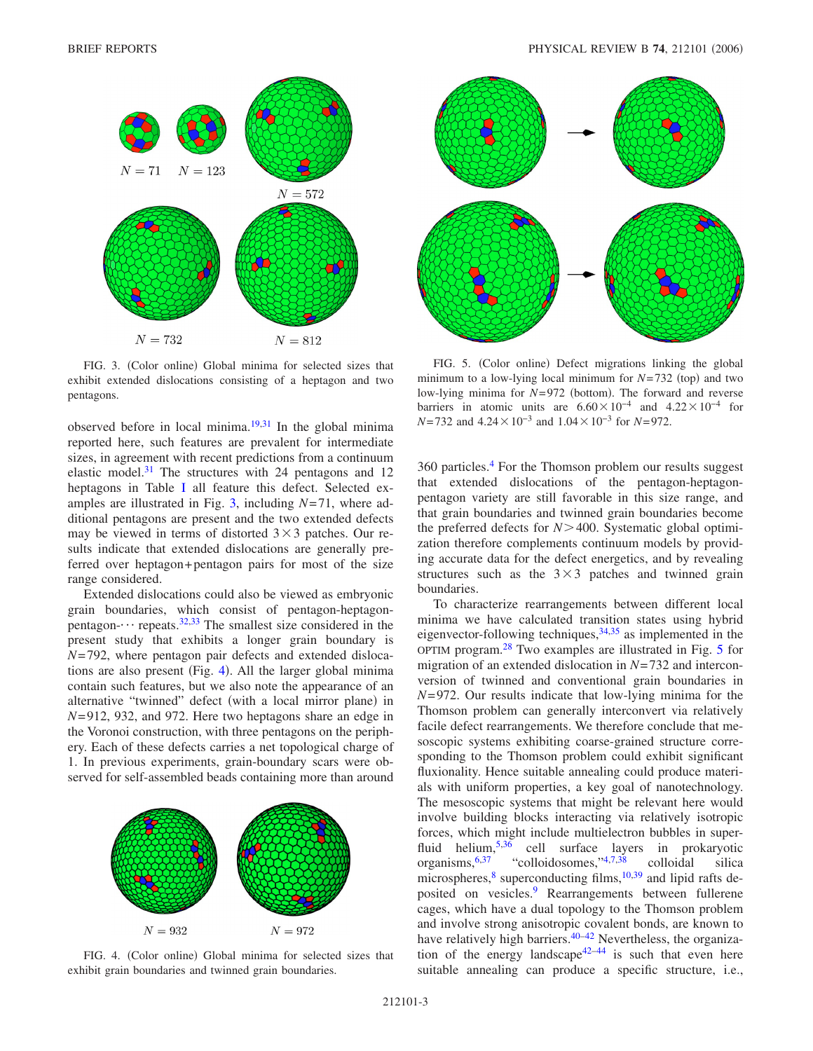<span id="page-2-0"></span>

FIG. 3. (Color online) Global minima for selected sizes that exhibit extended dislocations consisting of a heptagon and two pentagons.

observed before in local minima. $19,31$  $19,31$  In the global minima reported here, such features are prevalent for intermediate sizes, in agreement with recent predictions from a continuum elastic model.<sup>31</sup> The structures with 24 pentagons and 12 heptagons in Table [I](#page-1-0) all feature this defect. Selected examples are illustrated in Fig. [3,](#page-2-0) including *N*= 71, where additional pentagons are present and the two extended defects may be viewed in terms of distorted  $3 \times 3$  patches. Our results indicate that extended dislocations are generally preferred over heptagon+ pentagon pairs for most of the size range considered.

Extended dislocations could also be viewed as embryonic grain boundaries, which consist of pentagon-heptagonpentagon- $\cdots$  repeats.<sup>32,[33](#page-3-21)</sup> The smallest size considered in the present study that exhibits a longer grain boundary is *N*= 792, where pentagon pair defects and extended disloca-tions are also present (Fig. [4](#page-2-1)). All the larger global minima contain such features, but we also note the appearance of an alternative "twinned" defect (with a local mirror plane) in *N*= 912, 932, and 972. Here two heptagons share an edge in the Voronoi construction, with three pentagons on the periphery. Each of these defects carries a net topological charge of 1. In previous experiments, grain-boundary scars were observed for self-assembled beads containing more than around

<span id="page-2-1"></span>

FIG. 4. (Color online) Global minima for selected sizes that exhibit grain boundaries and twinned grain boundaries.

<span id="page-2-2"></span>

FIG. 5. (Color online) Defect migrations linking the global minimum to a low-lying local minimum for  $N=732$  (top) and two low-lying minima for *N*=972 (bottom). The forward and reverse barriers in atomic units are  $6.60 \times 10^{-4}$  and  $4.22 \times 10^{-4}$  for *N*=732 and 4.24 × 10<sup>-3</sup> and 1.04 × 10<sup>-3</sup> for *N*=972.

360 particles[.4](#page-3-2) For the Thomson problem our results suggest that extended dislocations of the pentagon-heptagonpentagon variety are still favorable in this size range, and that grain boundaries and twinned grain boundaries become the preferred defects for *N*-400. Systematic global optimization therefore complements continuum models by providing accurate data for the defect energetics, and by revealing structures such as the  $3\times3$  patches and twinned grain boundaries.

To characterize rearrangements between different local minima we have calculated transition states using hybrid eigenvector-following techniques,<sup>34[,35](#page-3-25)</sup> as implemented in the OPTIM program. $^{28}$  Two examples are illustrated in Fig. [5](#page-2-2) for migration of an extended dislocation in *N*= 732 and interconversion of twinned and conventional grain boundaries in *N*= 972. Our results indicate that low-lying minima for the Thomson problem can generally interconvert via relatively facile defect rearrangements. We therefore conclude that mesoscopic systems exhibiting coarse-grained structure corresponding to the Thomson problem could exhibit significant fluxionality. Hence suitable annealing could produce materials with uniform properties, a key goal of nanotechnology. The mesoscopic systems that might be relevant here would involve building blocks interacting via relatively isotropic forces, which might include multielectron bubbles in super-fluid helium,<sup>5[,36](#page-3-27)</sup> cell surface layers in prokaryotic organisms[,6](#page-3-28)[,37](#page-3-29) "colloidosomes,["4](#page-3-2)[,7,](#page-3-30)[38](#page-3-31) colloidal silica microspheres, $\frac{8}{3}$  superconducting films,  $\frac{10,39}{3}$  $\frac{10,39}{3}$  $\frac{10,39}{3}$  and lipid rafts deposited on vesicles.<sup>9</sup> Rearrangements between fullerene cages, which have a dual topology to the Thomson problem and involve strong anisotropic covalent bonds, are known to have relatively high barriers.<sup>40–[42](#page-3-36)</sup> Nevertheless, the organiza-tion of the energy landscape<sup>42–[44](#page-3-37)</sup> is such that even here suitable annealing can produce a specific structure, i.e.,